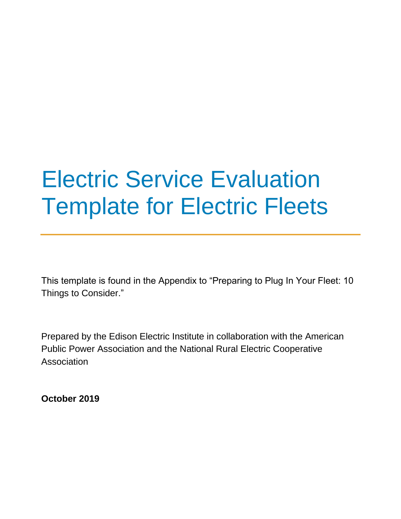# Electric Service Evaluation Template for Electric Fleets

This template is found in the Appendix to "Preparing to Plug In Your Fleet: 10 Things to Consider."

Prepared by the Edison Electric Institute in collaboration with the American Public Power Association and the National Rural Electric Cooperative Association

**October 2019**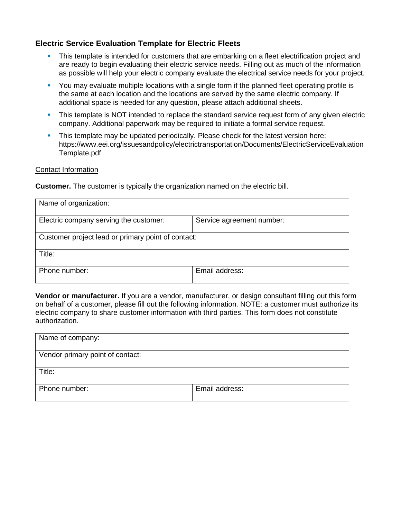# **Electric Service Evaluation Template for Electric Fleets**

- **•** This template is intended for customers that are embarking on a fleet electrification project and are ready to begin evaluating their electric service needs. Filling out as much of the information as possible will help your electric company evaluate the electrical service needs for your project.
- **•** You may evaluate multiple locations with a single form if the planned fleet operating profile is the same at each location and the locations are served by the same electric company. If additional space is needed for any question, please attach additional sheets.
- **This template is NOT intended to replace the standard service request form of any given electric** company. Additional paperwork may be required to initiate a formal service request.
- **•** This template may be updated periodically. Please check for the latest version here: https://www.eei.org/issuesandpolicy/electrictransportation/Documents/ElectricServiceEvaluation Template.pdf

## Contact Information

**Customer.** The customer is typically the organization named on the electric bill.

| Name of organization:                              |                           |  |  |  |
|----------------------------------------------------|---------------------------|--|--|--|
| Electric company serving the customer:             | Service agreement number: |  |  |  |
| Customer project lead or primary point of contact: |                           |  |  |  |
| Title:                                             |                           |  |  |  |
| Phone number:                                      | Email address:            |  |  |  |

**Vendor or manufacturer.** If you are a vendor, manufacturer, or design consultant filling out this form on behalf of a customer, please fill out the following information. NOTE: a customer must authorize its electric company to share customer information with third parties. This form does not constitute authorization.

| Name of company:                 |                |
|----------------------------------|----------------|
| Vendor primary point of contact: |                |
| Title:                           |                |
| Phone number:                    | Email address: |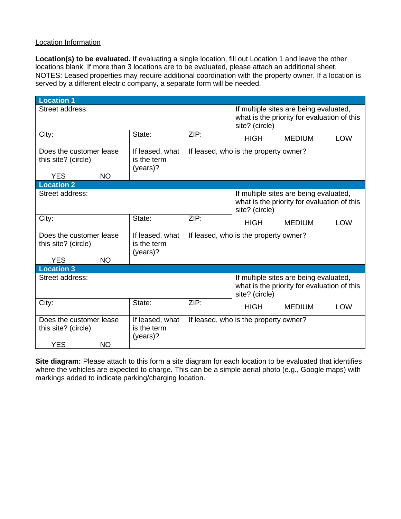### Location Information

**Location(s) to be evaluated.** If evaluating a single location, fill out Location 1 and leave the other locations blank. If more than 3 locations are to be evaluated, please attach an additional sheet. NOTES: Leased properties may require additional coordination with the property owner. If a location is served by a different electric company, a separate form will be needed.

| <b>Location 1</b>                                                                                                          |        |                                       |                                                                                                         |               |            |
|----------------------------------------------------------------------------------------------------------------------------|--------|---------------------------------------|---------------------------------------------------------------------------------------------------------|---------------|------------|
| Street address:                                                                                                            |        |                                       | If multiple sites are being evaluated,<br>what is the priority for evaluation of this<br>site? (circle) |               |            |
| City:                                                                                                                      | State: | ZIP:                                  | <b>HIGH</b>                                                                                             | <b>MEDIUM</b> | <b>LOW</b> |
| Does the customer lease<br>If leased, what<br>is the term<br>this site? (circle)<br>(years)?                               |        | If leased, who is the property owner? |                                                                                                         |               |            |
| <b>NO</b><br><b>YES</b>                                                                                                    |        |                                       |                                                                                                         |               |            |
| <b>Location 2</b>                                                                                                          |        |                                       |                                                                                                         |               |            |
| Street address:                                                                                                            |        |                                       | If multiple sites are being evaluated,<br>what is the priority for evaluation of this<br>site? (circle) |               |            |
| City:                                                                                                                      | State: | ZIP:                                  | <b>HIGH</b>                                                                                             | <b>MEDIUM</b> | <b>LOW</b> |
| Does the customer lease<br>If leased, what<br>this site? (circle)<br>is the term<br>(years)?                               |        |                                       | If leased, who is the property owner?                                                                   |               |            |
| <b>YES</b><br><b>NO</b>                                                                                                    |        |                                       |                                                                                                         |               |            |
| <b>Location 3</b>                                                                                                          |        |                                       |                                                                                                         |               |            |
| Street address:                                                                                                            |        |                                       | If multiple sites are being evaluated,<br>what is the priority for evaluation of this<br>site? (circle) |               |            |
| City:                                                                                                                      | State: | ZIP:                                  | <b>HIGH</b>                                                                                             | <b>MEDIUM</b> | <b>LOW</b> |
| Does the customer lease<br>If leased, what<br>is the term<br>this site? (circle)<br>$(years)$ ?<br><b>YES</b><br><b>NO</b> |        |                                       | If leased, who is the property owner?                                                                   |               |            |

**Site diagram:** Please attach to this form a site diagram for each location to be evaluated that identifies where the vehicles are expected to charge. This can be a simple aerial photo (e.g., Google maps) with markings added to indicate parking/charging location.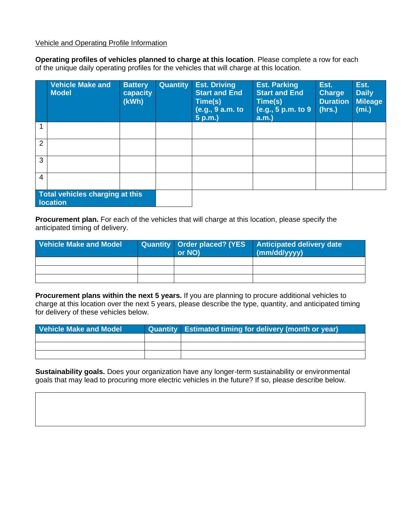Vehicle and Operating Profile Information

**Operating profiles of vehicles planned to charge at this location**. Please complete a row for each of the unique daily operating profiles for the vehicles that will charge at this location.

|                | <b>Vehicle Make and</b><br><b>Model</b>     | <b>Battery</b><br>capacity<br>(kWh) | <b>Quantity</b> | <b>Est. Driving</b><br><b>Start and End</b><br>Time(s)<br>(e.g., 9 a.m. to<br>5 p.m.) | <b>Est. Parking</b><br><b>Start and End</b><br>Time(s)<br>(e.g., 5 p.m. to 9<br>a.m. | Est.<br><b>Charge</b><br><b>Duration</b><br>(hrs.) | Est.<br><b>Daily</b><br><b>Mileage</b><br>(mi.) |
|----------------|---------------------------------------------|-------------------------------------|-----------------|---------------------------------------------------------------------------------------|--------------------------------------------------------------------------------------|----------------------------------------------------|-------------------------------------------------|
| 1              |                                             |                                     |                 |                                                                                       |                                                                                      |                                                    |                                                 |
| $\overline{2}$ |                                             |                                     |                 |                                                                                       |                                                                                      |                                                    |                                                 |
| 3              |                                             |                                     |                 |                                                                                       |                                                                                      |                                                    |                                                 |
| $\overline{4}$ |                                             |                                     |                 |                                                                                       |                                                                                      |                                                    |                                                 |
|                | Total vehicles charging at this<br>location |                                     |                 |                                                                                       |                                                                                      |                                                    |                                                 |

**Procurement plan.** For each of the vehicles that will charge at this location, please specify the anticipated timing of delivery.

| <b>Vehicle Make and Model</b> | Quantity   Order placed? (YES<br>or NO) | <b>Anticipated delivery date</b><br>$\mid$ (mm/dd/yyyy) |
|-------------------------------|-----------------------------------------|---------------------------------------------------------|
|                               |                                         |                                                         |
|                               |                                         |                                                         |
|                               |                                         |                                                         |

**Procurement plans within the next 5 years.** If you are planning to procure additional vehicles to charge at this location over the next 5 years, please describe the type, quantity, and anticipated timing for delivery of these vehicles below.

| Vehicle Make and Model | Quantity Estimated timing for delivery (month or year) |  |  |
|------------------------|--------------------------------------------------------|--|--|
|                        |                                                        |  |  |
|                        |                                                        |  |  |
|                        |                                                        |  |  |

**Sustainability goals.** Does your organization have any longer-term sustainability or environmental goals that may lead to procuring more electric vehicles in the future? If so, please describe below.